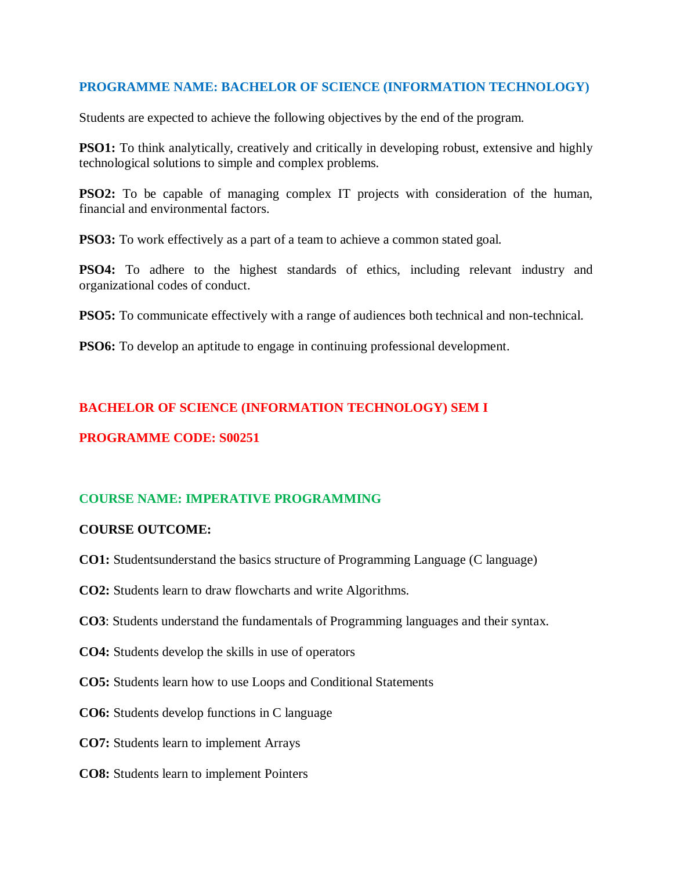### **PROGRAMME NAME: BACHELOR OF SCIENCE (INFORMATION TECHNOLOGY)**

Students are expected to achieve the following objectives by the end of the program.

**PSO1:** To think analytically, creatively and critically in developing robust, extensive and highly technological solutions to simple and complex problems.

**PSO2:** To be capable of managing complex IT projects with consideration of the human, financial and environmental factors.

**PSO3:** To work effectively as a part of a team to achieve a common stated goal.

**PSO4:** To adhere to the highest standards of ethics, including relevant industry and organizational codes of conduct.

**PSO5:** To communicate effectively with a range of audiences both technical and non-technical.

**PSO6:** To develop an aptitude to engage in continuing professional development.

## **BACHELOR OF SCIENCE (INFORMATION TECHNOLOGY) SEM I**

## **PROGRAMME CODE: S00251**

## **COURSE NAME: IMPERATIVE PROGRAMMING**

### **COURSE OUTCOME:**

- **CO1:** Studentsunderstand the basics structure of Programming Language (C language)
- **CO2:** Students learn to draw flowcharts and write Algorithms.
- **CO3**: Students understand the fundamentals of Programming languages and their syntax.
- **CO4:** Students develop the skills in use of operators
- **CO5:** Students learn how to use Loops and Conditional Statements
- **CO6:** Students develop functions in C language
- **CO7:** Students learn to implement Arrays
- **CO8:** Students learn to implement Pointers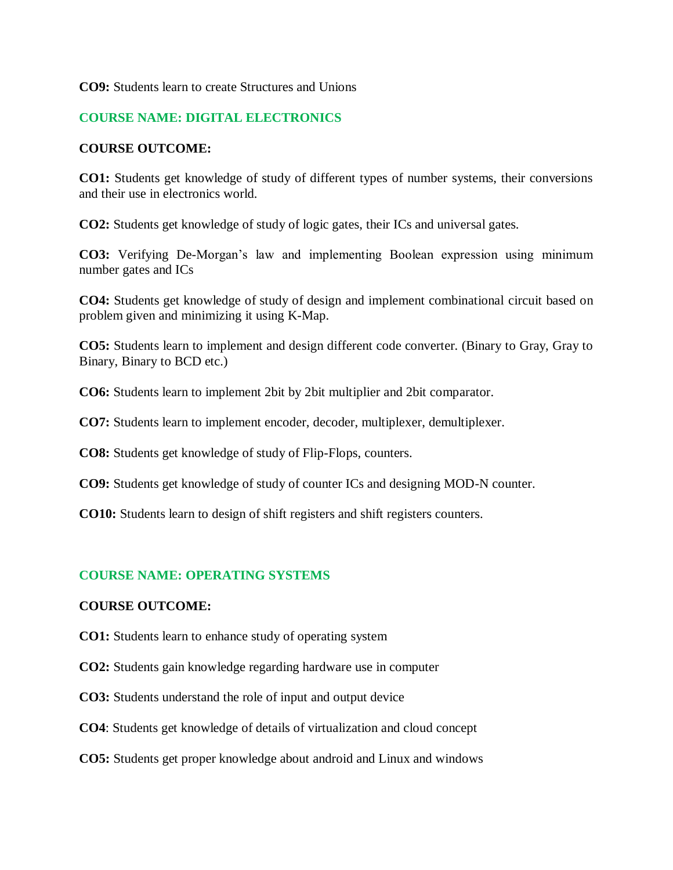### **CO9:** Students learn to create Structures and Unions

### **COURSE NAME: DIGITAL ELECTRONICS**

#### **COURSE OUTCOME:**

**CO1:** Students get knowledge of study of different types of number systems, their conversions and their use in electronics world.

**CO2:** Students get knowledge of study of logic gates, their ICs and universal gates.

**CO3:** Verifying De-Morgan's law and implementing Boolean expression using minimum number gates and ICs

**CO4:** Students get knowledge of study of design and implement combinational circuit based on problem given and minimizing it using K-Map.

**CO5:** Students learn to implement and design different code converter. (Binary to Gray, Gray to Binary, Binary to BCD etc.)

**CO6:** Students learn to implement 2bit by 2bit multiplier and 2bit comparator.

**CO7:** Students learn to implement encoder, decoder, multiplexer, demultiplexer.

**CO8:** Students get knowledge of study of Flip-Flops, counters.

**CO9:** Students get knowledge of study of counter ICs and designing MOD-N counter.

**CO10:** Students learn to design of shift registers and shift registers counters.

### **COURSE NAME: OPERATING SYSTEMS**

#### **COURSE OUTCOME:**

**CO1:** Students learn to enhance study of operating system

- **CO2:** Students gain knowledge regarding hardware use in computer
- **CO3:** Students understand the role of input and output device
- **CO4**: Students get knowledge of details of virtualization and cloud concept
- **CO5:** Students get proper knowledge about android and Linux and windows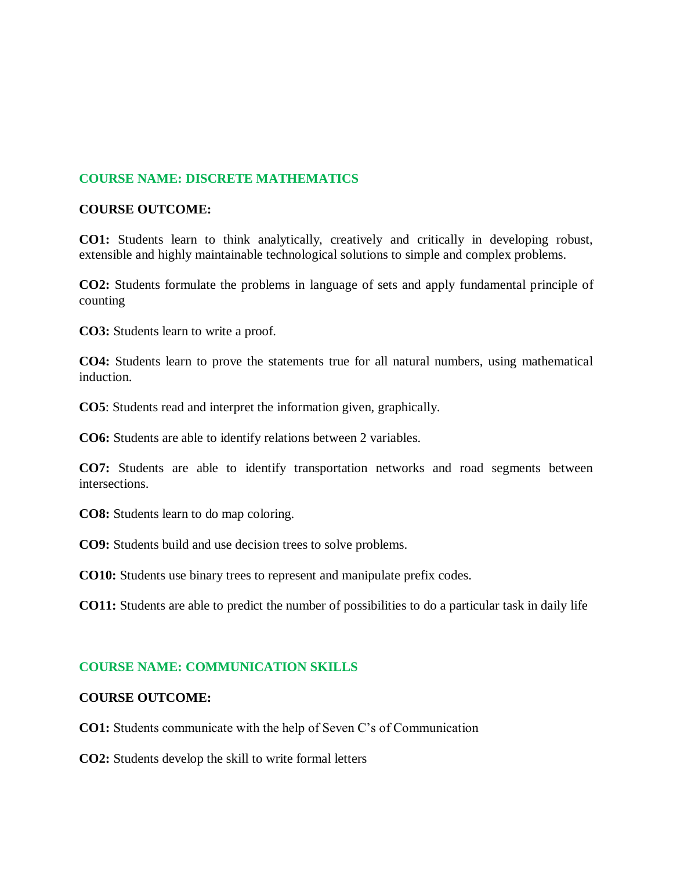## **COURSE NAME: DISCRETE MATHEMATICS**

### **COURSE OUTCOME:**

**CO1:** Students learn to think analytically, creatively and critically in developing robust, extensible and highly maintainable technological solutions to simple and complex problems.

**CO2:** Students formulate the problems in language of sets and apply fundamental principle of counting

**CO3:** Students learn to write a proof.

**CO4:** Students learn to prove the statements true for all natural numbers, using mathematical induction.

**CO5**: Students read and interpret the information given, graphically.

**CO6:** Students are able to identify relations between 2 variables.

**CO7:** Students are able to identify transportation networks and road segments between intersections.

**CO8:** Students learn to do map coloring.

**CO9:** Students build and use decision trees to solve problems.

**CO10:** Students use binary trees to represent and manipulate prefix codes.

**CO11:** Students are able to predict the number of possibilities to do a particular task in daily life

### **COURSE NAME: COMMUNICATION SKILLS**

### **COURSE OUTCOME:**

**CO1:** Students communicate with the help of Seven C's of Communication

**CO2:** Students develop the skill to write formal letters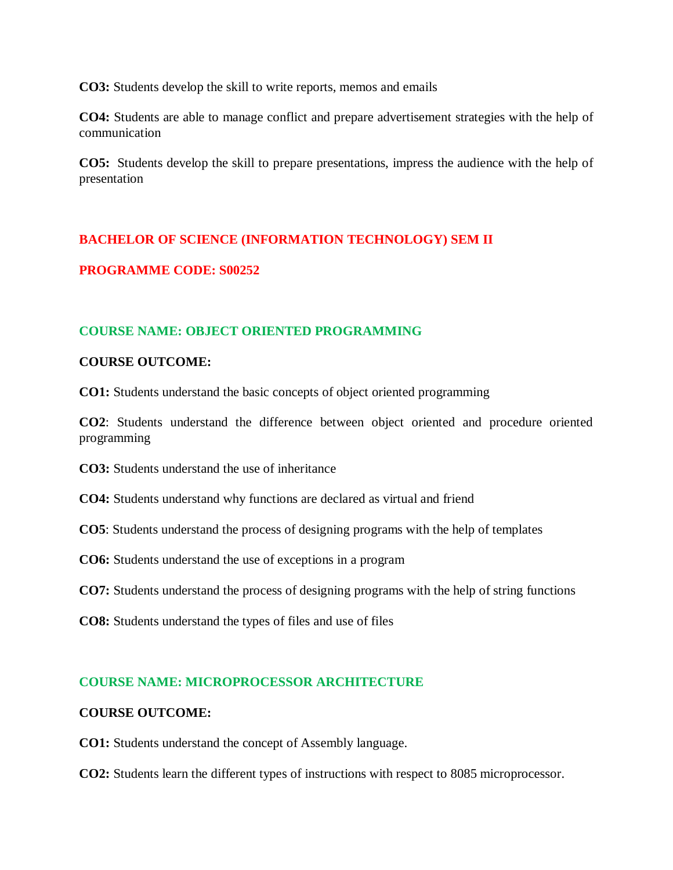**CO3:** Students develop the skill to write reports, memos and emails

**CO4:** Students are able to manage conflict and prepare advertisement strategies with the help of communication

**CO5:** Students develop the skill to prepare presentations, impress the audience with the help of presentation

## **BACHELOR OF SCIENCE (INFORMATION TECHNOLOGY) SEM II**

### **PROGRAMME CODE: S00252**

## **COURSE NAME: OBJECT ORIENTED PROGRAMMING**

### **COURSE OUTCOME:**

**CO1:** Students understand the basic concepts of object oriented programming

**CO2**: Students understand the difference between object oriented and procedure oriented programming

**CO3:** Students understand the use of inheritance

**CO4:** Students understand why functions are declared as virtual and friend

**CO5**: Students understand the process of designing programs with the help of templates

**CO6:** Students understand the use of exceptions in a program

**CO7:** Students understand the process of designing programs with the help of string functions

**CO8:** Students understand the types of files and use of files

### **COURSE NAME: MICROPROCESSOR ARCHITECTURE**

### **COURSE OUTCOME:**

**CO1:** Students understand the concept of Assembly language.

**CO2:** Students learn the different types of instructions with respect to 8085 microprocessor.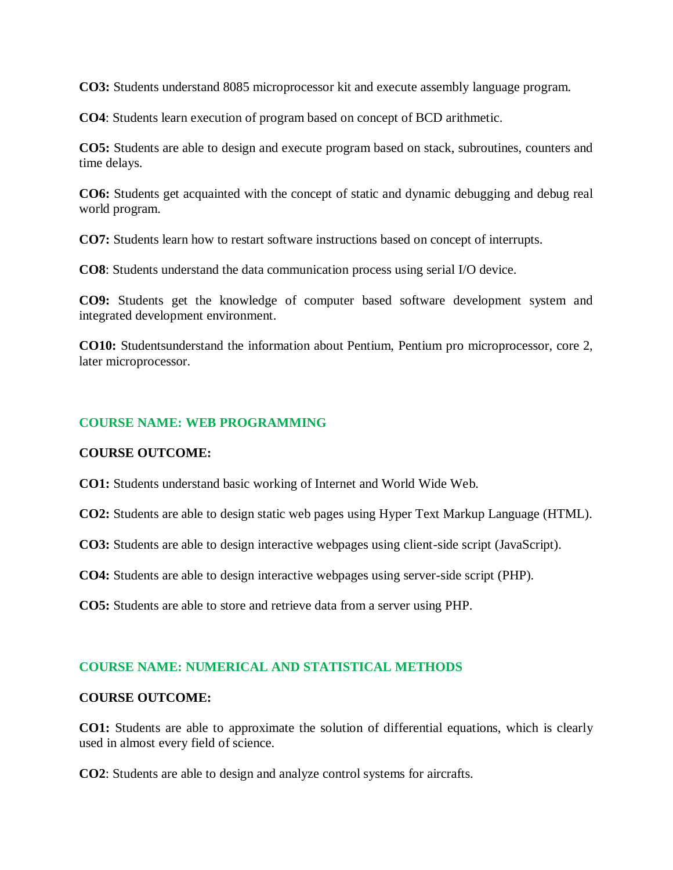**CO3:** Students understand 8085 microprocessor kit and execute assembly language program.

**CO4**: Students learn execution of program based on concept of BCD arithmetic.

**CO5:** Students are able to design and execute program based on stack, subroutines, counters and time delays.

**CO6:** Students get acquainted with the concept of static and dynamic debugging and debug real world program.

**CO7:** Students learn how to restart software instructions based on concept of interrupts.

**CO8**: Students understand the data communication process using serial I/O device.

**CO9:** Students get the knowledge of computer based software development system and integrated development environment.

**CO10:** Studentsunderstand the information about Pentium, Pentium pro microprocessor, core 2, later microprocessor.

### **COURSE NAME: WEB PROGRAMMING**

#### **COURSE OUTCOME:**

**CO1:** Students understand basic working of Internet and World Wide Web.

**CO2:** Students are able to design static web pages using Hyper Text Markup Language (HTML).

**CO3:** Students are able to design interactive webpages using client-side script (JavaScript).

**CO4:** Students are able to design interactive webpages using server-side script (PHP).

**CO5:** Students are able to store and retrieve data from a server using PHP.

### **COURSE NAME: NUMERICAL AND STATISTICAL METHODS**

### **COURSE OUTCOME:**

**CO1:** Students are able to approximate the solution of differential equations, which is clearly used in almost every field of science.

**CO2**: Students are able to design and analyze control systems for aircrafts.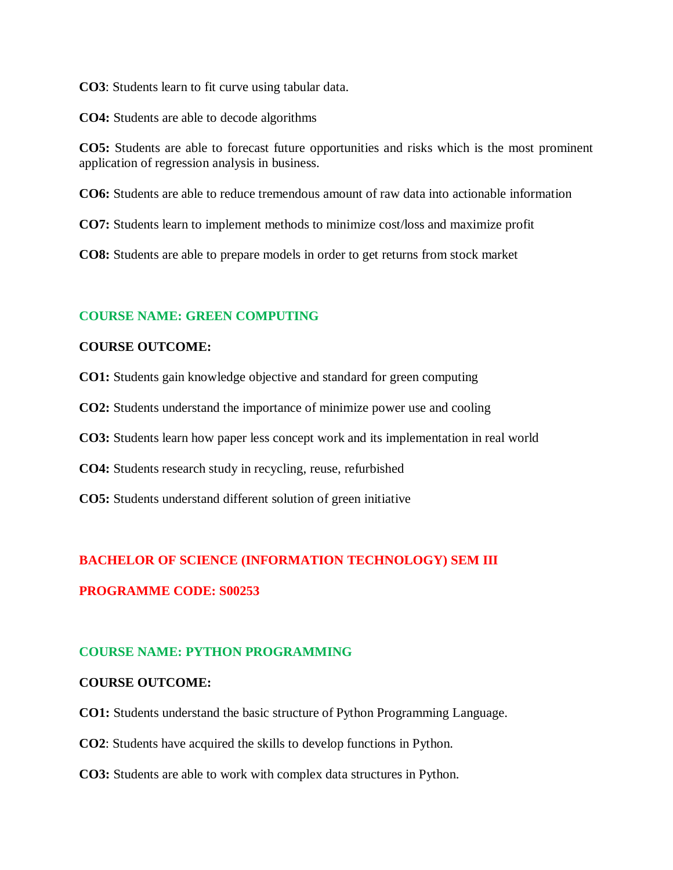**CO3**: Students learn to fit curve using tabular data.

**CO4:** Students are able to decode algorithms

**CO5:** Students are able to forecast future opportunities and risks which is the most prominent application of regression analysis in business.

**CO6:** Students are able to reduce tremendous amount of raw data into actionable information

**CO7:** Students learn to implement methods to minimize cost/loss and maximize profit

**CO8:** Students are able to prepare models in order to get returns from stock market

### **COURSE NAME: GREEN COMPUTING**

#### **COURSE OUTCOME:**

**CO1:** Students gain knowledge objective and standard for green computing

**CO2:** Students understand the importance of minimize power use and cooling

**CO3:** Students learn how paper less concept work and its implementation in real world

**CO4:** Students research study in recycling, reuse, refurbished

**CO5:** Students understand different solution of green initiative

### **BACHELOR OF SCIENCE (INFORMATION TECHNOLOGY) SEM III**

### **PROGRAMME CODE: S00253**

## **COURSE NAME: PYTHON PROGRAMMING**

### **COURSE OUTCOME:**

**CO1:** Students understand the basic structure of Python Programming Language.

**CO2**: Students have acquired the skills to develop functions in Python.

**CO3:** Students are able to work with complex data structures in Python.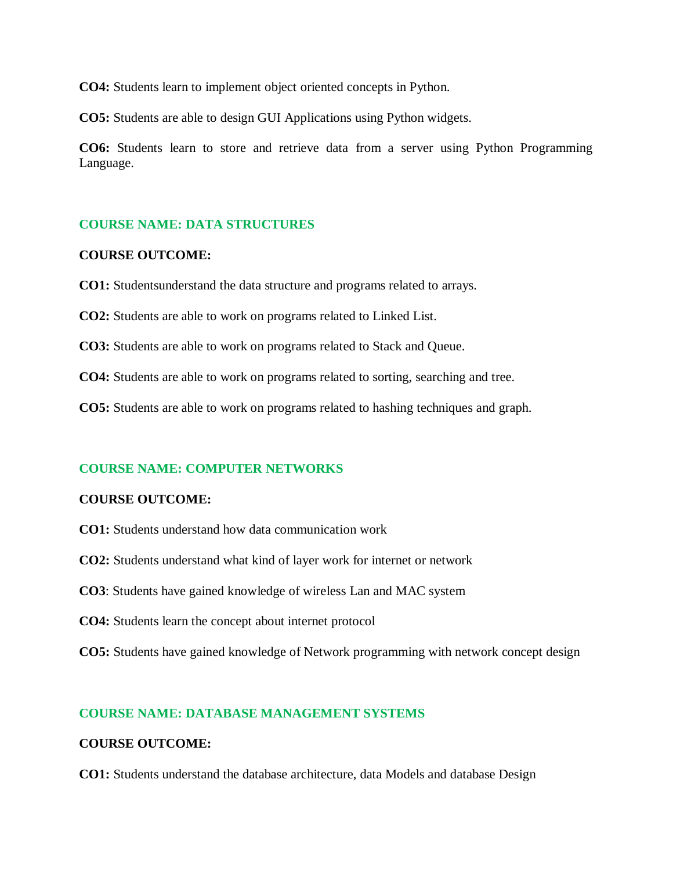**CO4:** Students learn to implement object oriented concepts in Python.

**CO5:** Students are able to design GUI Applications using Python widgets.

**CO6:** Students learn to store and retrieve data from a server using Python Programming Language.

### **COURSE NAME: DATA STRUCTURES**

### **COURSE OUTCOME:**

**CO1:** Studentsunderstand the data structure and programs related to arrays.

**CO2:** Students are able to work on programs related to Linked List.

**CO3:** Students are able to work on programs related to Stack and Queue.

**CO4:** Students are able to work on programs related to sorting, searching and tree.

**CO5:** Students are able to work on programs related to hashing techniques and graph.

### **COURSE NAME: COMPUTER NETWORKS**

#### **COURSE OUTCOME:**

- **CO1:** Students understand how data communication work
- **CO2:** Students understand what kind of layer work for internet or network
- **CO3**: Students have gained knowledge of wireless Lan and MAC system
- **CO4:** Students learn the concept about internet protocol
- **CO5:** Students have gained knowledge of Network programming with network concept design

### **COURSE NAME: DATABASE MANAGEMENT SYSTEMS**

#### **COURSE OUTCOME:**

**CO1:** Students understand the database architecture, data Models and database Design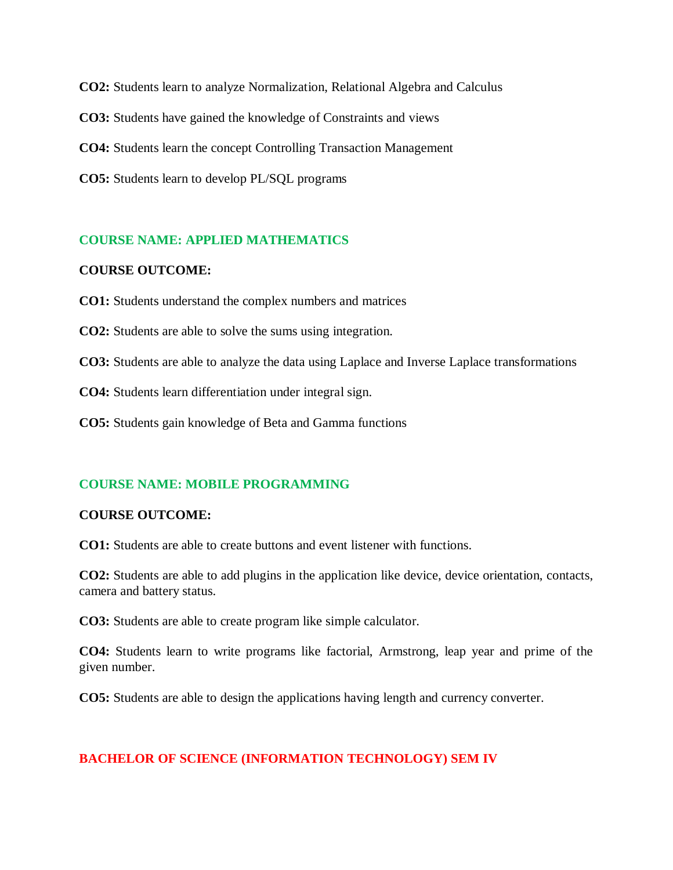**CO2:** Students learn to analyze Normalization, Relational Algebra and Calculus **CO3:** Students have gained the knowledge of Constraints and views **CO4:** Students learn the concept Controlling Transaction Management **CO5:** Students learn to develop PL/SQL programs

## **COURSE NAME: APPLIED MATHEMATICS**

#### **COURSE OUTCOME:**

**CO1:** Students understand the complex numbers and matrices

**CO2:** Students are able to solve the sums using integration.

**CO3:** Students are able to analyze the data using Laplace and Inverse Laplace transformations

**CO4:** Students learn differentiation under integral sign.

**CO5:** Students gain knowledge of Beta and Gamma functions

### **COURSE NAME: MOBILE PROGRAMMING**

#### **COURSE OUTCOME:**

**CO1:** Students are able to create buttons and event listener with functions.

**CO2:** Students are able to add plugins in the application like device, device orientation, contacts, camera and battery status.

**CO3:** Students are able to create program like simple calculator.

**CO4:** Students learn to write programs like factorial, Armstrong, leap year and prime of the given number.

**CO5:** Students are able to design the applications having length and currency converter.

### **BACHELOR OF SCIENCE (INFORMATION TECHNOLOGY) SEM IV**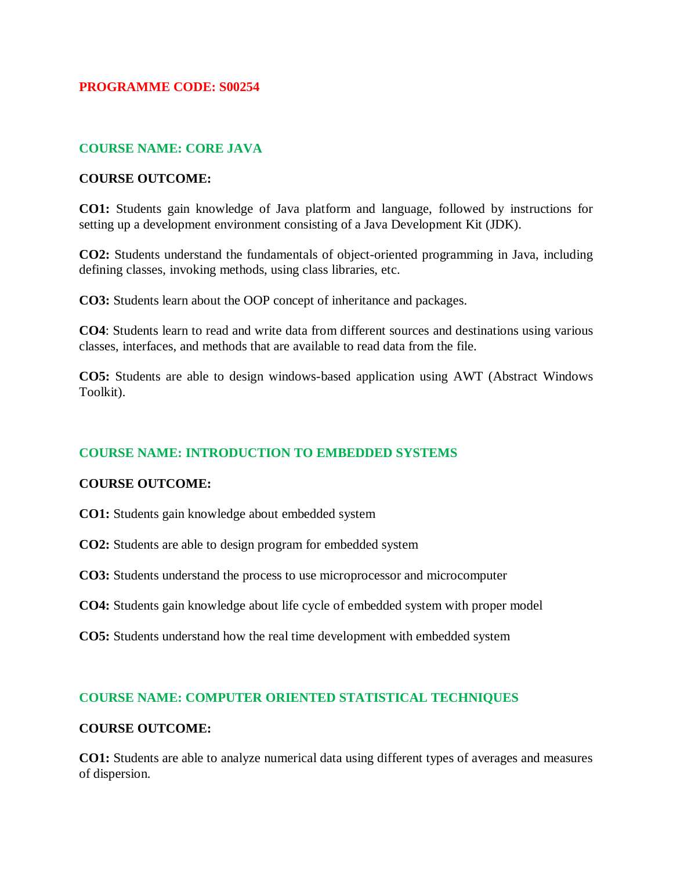### **PROGRAMME CODE: S00254**

## **COURSE NAME: CORE JAVA**

### **COURSE OUTCOME:**

**CO1:** Students gain knowledge of Java platform and language, followed by instructions for setting up a development environment consisting of a Java Development Kit (JDK).

**CO2:** Students understand the fundamentals of object-oriented programming in Java, including defining classes, invoking methods, using class libraries, etc.

**CO3:** Students learn about the OOP concept of inheritance and packages.

**CO4**: Students learn to read and write data from different sources and destinations using various classes, interfaces, and methods that are available to read data from the file.

**CO5:** Students are able to design windows-based application using AWT (Abstract Windows Toolkit).

## **COURSE NAME: INTRODUCTION TO EMBEDDED SYSTEMS**

### **COURSE OUTCOME:**

- **CO1:** Students gain knowledge about embedded system
- **CO2:** Students are able to design program for embedded system
- **CO3:** Students understand the process to use microprocessor and microcomputer
- **CO4:** Students gain knowledge about life cycle of embedded system with proper model
- **CO5:** Students understand how the real time development with embedded system

### **COURSE NAME: COMPUTER ORIENTED STATISTICAL TECHNIQUES**

#### **COURSE OUTCOME:**

**CO1:** Students are able to analyze numerical data using different types of averages and measures of dispersion.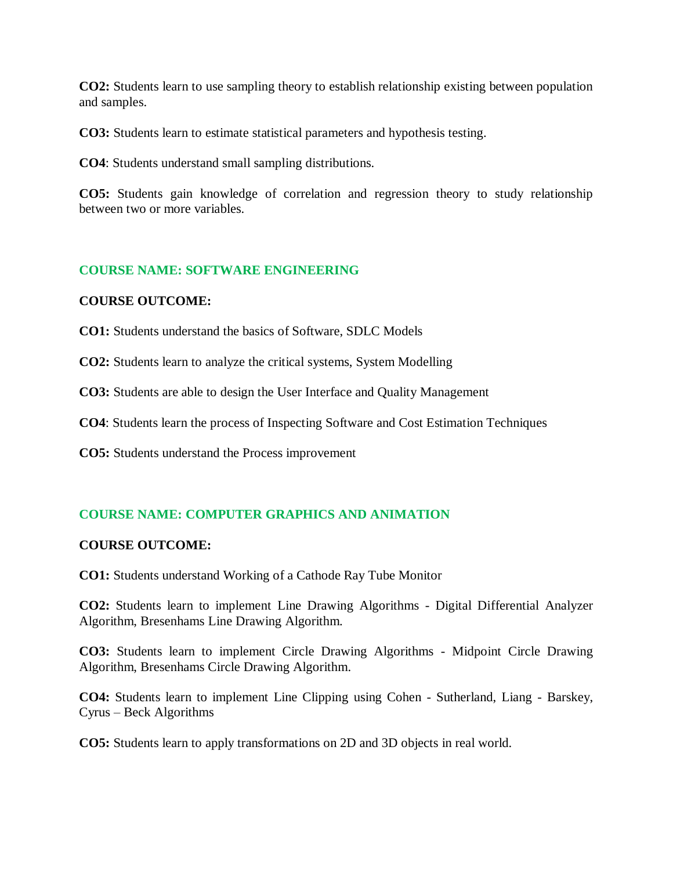**CO2:** Students learn to use sampling theory to establish relationship existing between population and samples.

**CO3:** Students learn to estimate statistical parameters and hypothesis testing.

**CO4**: Students understand small sampling distributions.

**CO5:** Students gain knowledge of correlation and regression theory to study relationship between two or more variables.

## **COURSE NAME: SOFTWARE ENGINEERING**

### **COURSE OUTCOME:**

**CO1:** Students understand the basics of Software, SDLC Models

**CO2:** Students learn to analyze the critical systems, System Modelling

**CO3:** Students are able to design the User Interface and Quality Management

**CO4**: Students learn the process of Inspecting Software and Cost Estimation Techniques

**CO5:** Students understand the Process improvement

## **COURSE NAME: COMPUTER GRAPHICS AND ANIMATION**

### **COURSE OUTCOME:**

**CO1:** Students understand Working of a Cathode Ray Tube Monitor

**CO2:** Students learn to implement Line Drawing Algorithms - Digital Differential Analyzer Algorithm, Bresenhams Line Drawing Algorithm.

**CO3:** Students learn to implement Circle Drawing Algorithms - Midpoint Circle Drawing Algorithm, Bresenhams Circle Drawing Algorithm.

**CO4:** Students learn to implement Line Clipping using Cohen - Sutherland, Liang - Barskey, Cyrus – Beck Algorithms

**CO5:** Students learn to apply transformations on 2D and 3D objects in real world.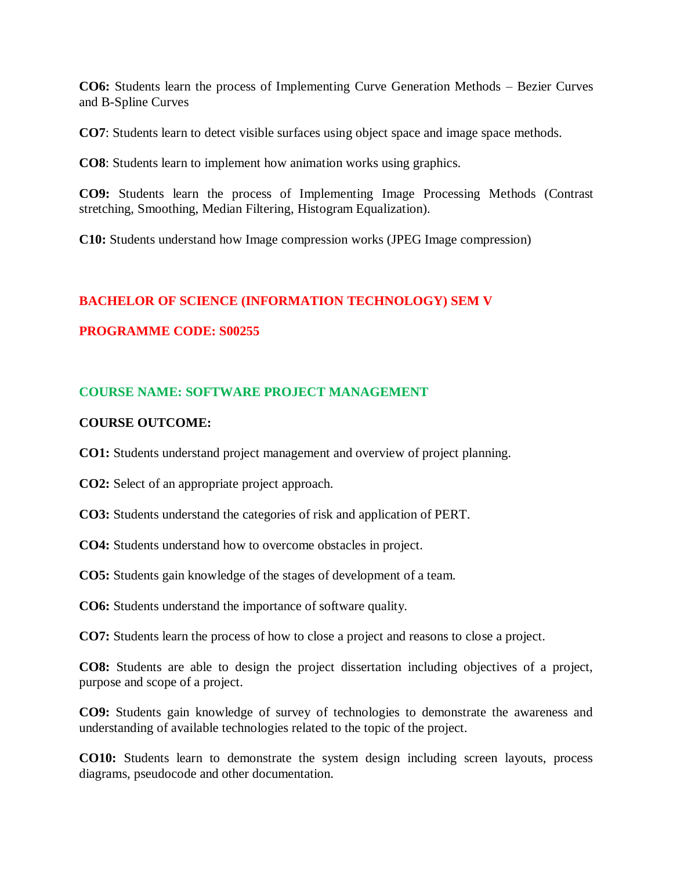**CO6:** Students learn the process of Implementing Curve Generation Methods – Bezier Curves and B-Spline Curves

**CO7**: Students learn to detect visible surfaces using object space and image space methods.

**CO8**: Students learn to implement how animation works using graphics.

**CO9:** Students learn the process of Implementing Image Processing Methods (Contrast stretching, Smoothing, Median Filtering, Histogram Equalization).

**C10:** Students understand how Image compression works (JPEG Image compression)

### **BACHELOR OF SCIENCE (INFORMATION TECHNOLOGY) SEM V**

### **PROGRAMME CODE: S00255**

### **COURSE NAME: SOFTWARE PROJECT MANAGEMENT**

#### **COURSE OUTCOME:**

**CO1:** Students understand project management and overview of project planning.

**CO2:** Select of an appropriate project approach.

**CO3:** Students understand the categories of risk and application of PERT.

**CO4:** Students understand how to overcome obstacles in project.

**CO5:** Students gain knowledge of the stages of development of a team.

**CO6:** Students understand the importance of software quality.

**CO7:** Students learn the process of how to close a project and reasons to close a project.

**CO8:** Students are able to design the project dissertation including objectives of a project, purpose and scope of a project.

**CO9:** Students gain knowledge of survey of technologies to demonstrate the awareness and understanding of available technologies related to the topic of the project.

**CO10:** Students learn to demonstrate the system design including screen layouts, process diagrams, pseudocode and other documentation.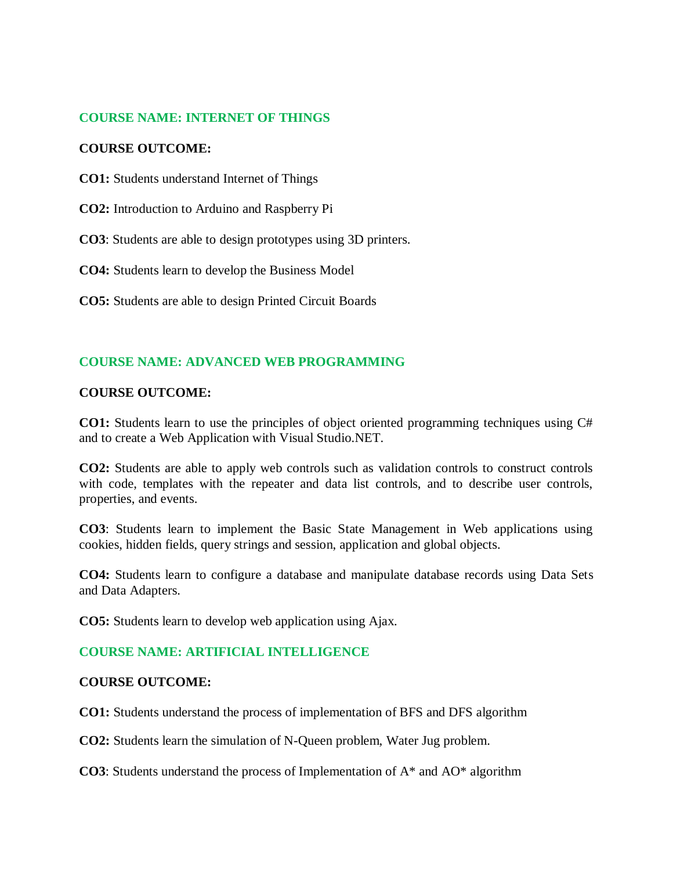## **COURSE NAME: INTERNET OF THINGS**

### **COURSE OUTCOME:**

**CO1:** Students understand Internet of Things

**CO2:** Introduction to Arduino and Raspberry Pi

**CO3**: Students are able to design prototypes using 3D printers.

**CO4:** Students learn to develop the Business Model

**CO5:** Students are able to design Printed Circuit Boards

## **COURSE NAME: ADVANCED WEB PROGRAMMING**

### **COURSE OUTCOME:**

**CO1:** Students learn to use the principles of object oriented programming techniques using C# and to create a Web Application with Visual Studio.NET.

**CO2:** Students are able to apply web controls such as validation controls to construct controls with code, templates with the repeater and data list controls, and to describe user controls, properties, and events.

**CO3**: Students learn to implement the Basic State Management in Web applications using cookies, hidden fields, query strings and session, application and global objects.

**CO4:** Students learn to configure a database and manipulate database records using Data Sets and Data Adapters.

**CO5:** Students learn to develop web application using Ajax.

### **COURSE NAME: ARTIFICIAL INTELLIGENCE**

### **COURSE OUTCOME:**

**CO1:** Students understand the process of implementation of BFS and DFS algorithm

**CO2:** Students learn the simulation of N-Queen problem, Water Jug problem.

**CO3**: Students understand the process of Implementation of A\* and AO\* algorithm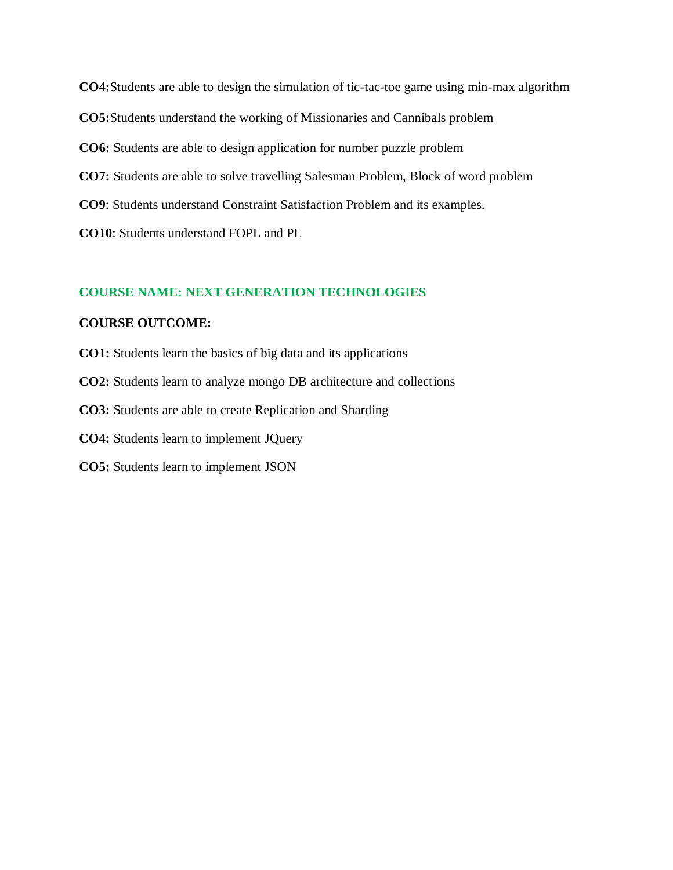**CO4:**Students are able to design the simulation of tic-tac-toe game using min-max algorithm **CO5:**Students understand the working of Missionaries and Cannibals problem **CO6:** Students are able to design application for number puzzle problem **CO7:** Students are able to solve travelling Salesman Problem, Block of word problem **CO9**: Students understand Constraint Satisfaction Problem and its examples. **CO10**: Students understand FOPL and PL

### **COURSE NAME: NEXT GENERATION TECHNOLOGIES**

### **COURSE OUTCOME:**

- **CO1:** Students learn the basics of big data and its applications **CO2:** Students learn to analyze mongo DB architecture and collections **CO3:** Students are able to create Replication and Sharding **CO4:** Students learn to implement JQuery
- **CO5:** Students learn to implement JSON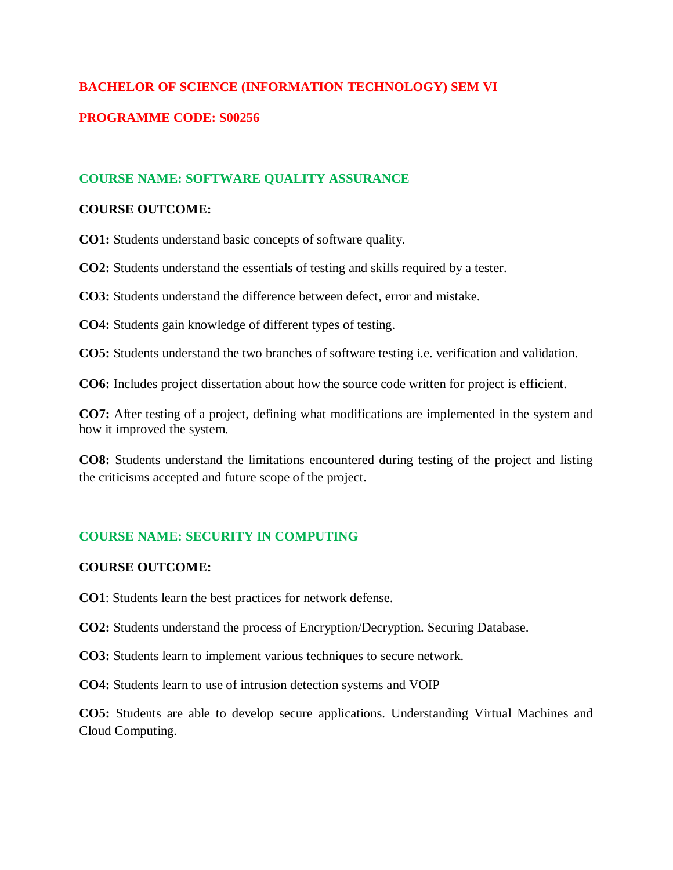## **BACHELOR OF SCIENCE (INFORMATION TECHNOLOGY) SEM VI**

## **PROGRAMME CODE: S00256**

## **COURSE NAME: SOFTWARE QUALITY ASSURANCE**

### **COURSE OUTCOME:**

**CO1:** Students understand basic concepts of software quality.

**CO2:** Students understand the essentials of testing and skills required by a tester.

**CO3:** Students understand the difference between defect, error and mistake.

**CO4:** Students gain knowledge of different types of testing.

**CO5:** Students understand the two branches of software testing i.e. verification and validation.

**CO6:** Includes project dissertation about how the source code written for project is efficient.

**CO7:** After testing of a project, defining what modifications are implemented in the system and how it improved the system.

**CO8:** Students understand the limitations encountered during testing of the project and listing the criticisms accepted and future scope of the project.

## **COURSE NAME: SECURITY IN COMPUTING**

### **COURSE OUTCOME:**

**CO1**: Students learn the best practices for network defense.

**CO2:** Students understand the process of Encryption/Decryption. Securing Database.

**CO3:** Students learn to implement various techniques to secure network.

**CO4:** Students learn to use of intrusion detection systems and VOIP

**CO5:** Students are able to develop secure applications. Understanding Virtual Machines and Cloud Computing.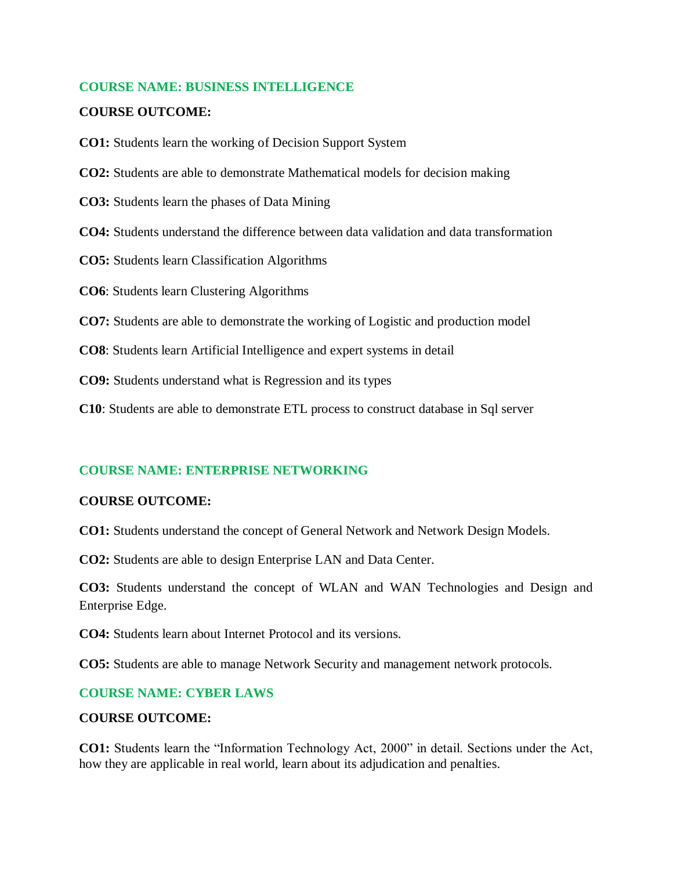### **COURSE NAME: BUSINESS INTELLIGENCE**

## **COURSE OUTCOME:**

**CO1:** Students learn the working of Decision Support System

**CO2:** Students are able to demonstrate Mathematical models for decision making

**CO3:** Students learn the phases of Data Mining

**CO4:** Students understand the difference between data validation and data transformation

**CO5:** Students learn Classification Algorithms

**CO6**: Students learn Clustering Algorithms

**CO7:** Students are able to demonstrate the working of Logistic and production model

**CO8**: Students learn Artificial Intelligence and expert systems in detail

**CO9:** Students understand what is Regression and its types

**C10**: Students are able to demonstrate ETL process to construct database in Sql server

### **COURSE NAME: ENTERPRISE NETWORKING**

#### **COURSE OUTCOME:**

**CO1:** Students understand the concept of General Network and Network Design Models.

**CO2:** Students are able to design Enterprise LAN and Data Center.

**CO3:** Students understand the concept of WLAN and WAN Technologies and Design and Enterprise Edge.

**CO4:** Students learn about Internet Protocol and its versions.

**CO5:** Students are able to manage Network Security and management network protocols.

### **COURSE NAME: CYBER LAWS**

### **COURSE OUTCOME:**

**CO1:** Students learn the "Information Technology Act, 2000" in detail. Sections under the Act, how they are applicable in real world, learn about its adjudication and penalties.